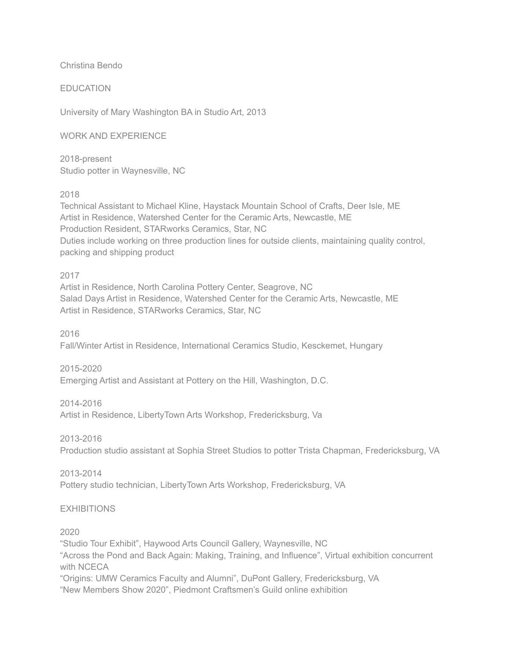Christina Bendo

### EDUCATION

University of Mary Washington BA in Studio Art, 2013

#### WORK AND EXPERIENCE

2018-present Studio potter in Waynesville, NC

#### 2018

Technical Assistant to Michael Kline, Haystack Mountain School of Crafts, Deer Isle, ME Artist in Residence, Watershed Center for the Ceramic Arts, Newcastle, ME Production Resident, STARworks Ceramics, Star, NC Duties include working on three production lines for outside clients, maintaining quality control, packing and shipping product

#### 2017

Artist in Residence, North Carolina Pottery Center, Seagrove, NC Salad Days Artist in Residence, Watershed Center for the Ceramic Arts, Newcastle, ME Artist in Residence, STARworks Ceramics, Star, NC

2016

Fall/Winter Artist in Residence, International Ceramics Studio, Kesckemet, Hungary

2015-2020

Emerging Artist and Assistant at Pottery on the Hill, Washington, D.C.

2014-2016

Artist in Residence, LibertyTown Arts Workshop, Fredericksburg, Va

2013-2016

Production studio assistant at Sophia Street Studios to potter Trista Chapman, Fredericksburg, VA

#### 2013-2014

Pottery studio technician, LibertyTown Arts Workshop, Fredericksburg, VA

## EXHIBITIONS

#### 2020

"Studio Tour Exhibit", Haywood Arts Council Gallery, Waynesville, NC "Across the Pond and Back Again: Making, Training, and Influence", Virtual exhibition concurrent with NCECA "Origins: UMW Ceramics Faculty and Alumni", DuPont Gallery, Fredericksburg, VA "New Members Show 2020", Piedmont Craftsmen's Guild online exhibition